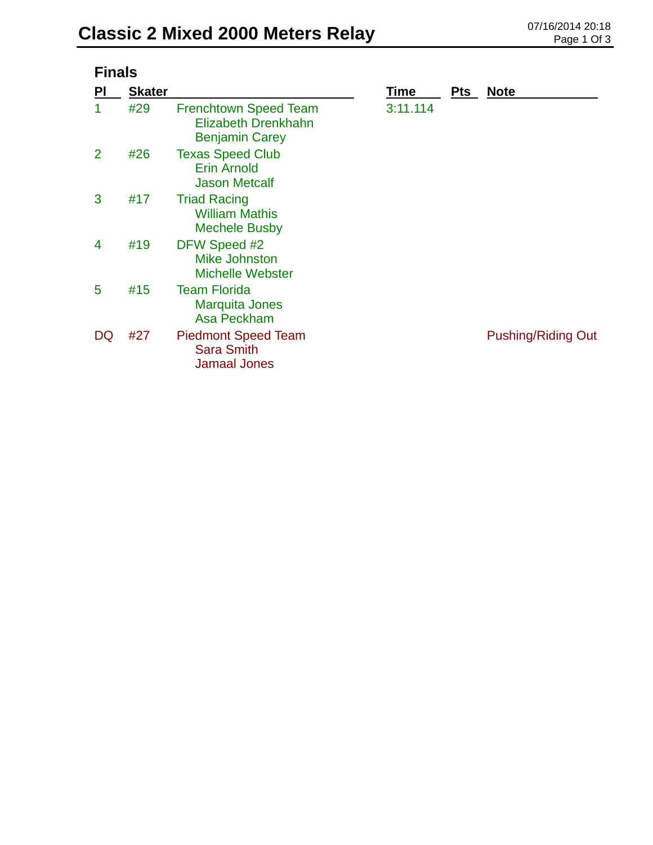| <b>Finals</b>  |               |                                                                              |             |            |                           |  |  |
|----------------|---------------|------------------------------------------------------------------------------|-------------|------------|---------------------------|--|--|
| PI             | <b>Skater</b> |                                                                              | <b>Time</b> | <b>Pts</b> | <u>Note</u>               |  |  |
| 1              | #29           | <b>Frenchtown Speed Team</b><br>Elizabeth Drenkhahn<br><b>Benjamin Carey</b> | 3:11.114    |            |                           |  |  |
| $\overline{2}$ | #26           | <b>Texas Speed Club</b><br><b>Erin Arnold</b><br><b>Jason Metcalf</b>        |             |            |                           |  |  |
| 3              | #17           | <b>Triad Racing</b><br><b>William Mathis</b><br><b>Mechele Busby</b>         |             |            |                           |  |  |
| 4              | #19           | DFW Speed #2<br><b>Mike Johnston</b><br><b>Michelle Webster</b>              |             |            |                           |  |  |
| 5              | #15           | <b>Team Florida</b><br><b>Marquita Jones</b><br>Asa Peckham                  |             |            |                           |  |  |
| DQ             | #27           | <b>Piedmont Speed Team</b><br><b>Sara Smith</b><br><b>Jamaal Jones</b>       |             |            | <b>Pushing/Riding Out</b> |  |  |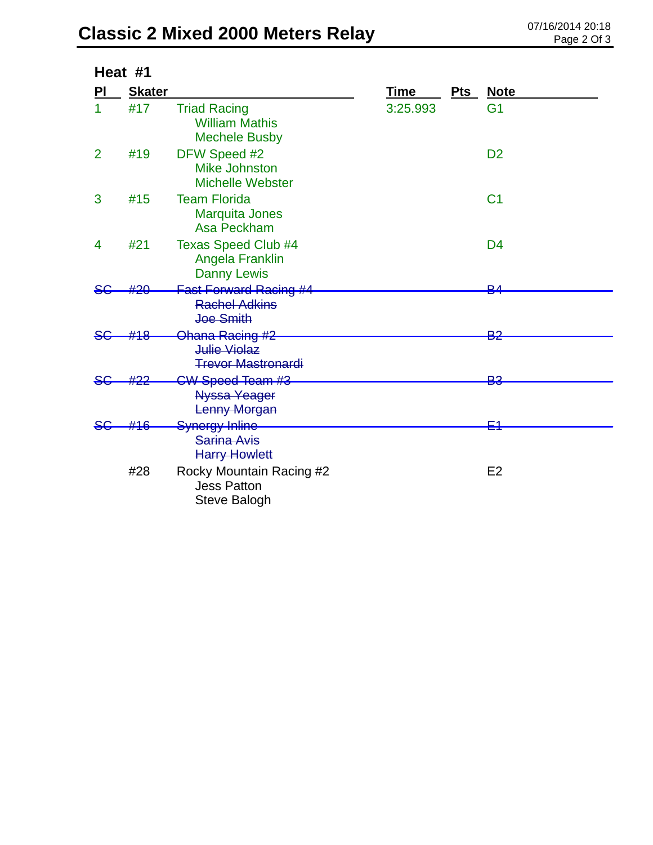## **Classic 2 Mixed 2000 Meters Relay** 07/16/2014 20:18

|                | Heat #1       |                                                                      |             |     |                |
|----------------|---------------|----------------------------------------------------------------------|-------------|-----|----------------|
| PI             | <b>Skater</b> |                                                                      | <b>Time</b> | Pts | <b>Note</b>    |
|                | #17           | <b>Triad Racing</b><br><b>William Mathis</b><br><b>Mechele Busby</b> | 3:25.993    |     | G <sub>1</sub> |
| $\overline{2}$ | #19           | DFW Speed #2<br><b>Mike Johnston</b><br><b>Michelle Webster</b>      |             |     | D <sub>2</sub> |
| 3              | #15           | <b>Team Florida</b><br><b>Marquita Jones</b><br>Asa Peckham          |             |     | C <sub>1</sub> |
| 4              | #21           | <b>Texas Speed Club #4</b><br>Angela Franklin<br><b>Danny Lewis</b>  |             |     | D <sub>4</sub> |
|                |               | <b>Fast Forward Racing #4</b>                                        |             |     | ⊵∠             |
|                |               | <b>Rachel Adkins</b><br>Joe Smith                                    |             |     |                |
|                | <u> 44.Q</u>  | Ohana Racing #2                                                      |             |     | <u>ညှ</u>      |
|                |               | Julie Violaz<br><b>Trevor Mastronardi</b>                            |             |     |                |
|                |               | CW Speed Team #3                                                     |             |     | <b>B3</b>      |
|                |               | <b>Nyssa Yeager</b><br>Lenny Morgan                                  |             |     |                |
|                |               | Synergy Inline                                                       |             |     | Ε4             |
|                |               | <b>Sarina Avis</b><br><b>Harry Howlett</b>                           |             |     |                |
|                | #28           | Rocky Mountain Racing #2<br><b>Jess Patton</b><br>Steve Balogh       |             |     | E <sub>2</sub> |